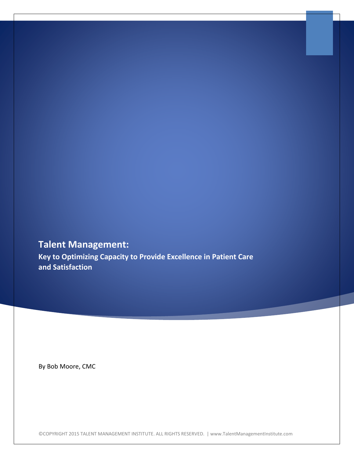# **Talent Management:**

**Key to Optimizing Capacity to Provide Excellence in Patient Care and Satisfaction**

By Bob Moore, CMC

©COPYRIGHT 2015 TALENT MANAGEMENT INSTITUTE. ALL RIGHTS RESERVED. | www.TalentManagementInstitute.com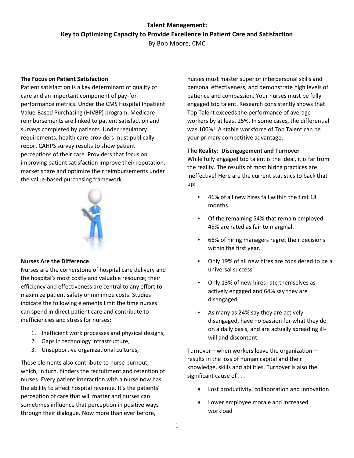## **Talent Management: Key to Optimizing Capacity to Provide Excellence in Patient Care and Satisfaction**

By Bob Moore, CMC

## **The Focus on Patient Satisfaction**

Patient satisfaction is a key determinant of quality of care and an important component of pay-forperformance metrics. Under the CMS Hospital Inpatient Value-Based Purchasing (HIVBP) program, Medicare reimbursements are linked to patient satisfaction and surveys completed by patients. Under regulatory requirements, health care providers must publically report CAHPS survey results to show patient perceptions of their care. Providers that focus on improving patient satisfaction improve their reputation, market share and optimize their reimbursements under the value-based purchasing framework.



## **Nurses Are the Difference**

Nurses are the cornerstone of hospital care delivery and the hospital's most costly and valuable resource; their efficiency and effectiveness are central to any effort to maximize patient safety or minimize costs. Studies indicate the following elements limit the time nurses can spend in direct patient care and contribute to inefficiencies and stress for nurses:

- 1. Inefficient work processes and physical designs,
- 2. Gaps in technology infrastructure,
- 3. Unsupportive organizational cultures,

These elements also contribute to nurse burnout, which, in turn, hinders the recruitment and retention of nurses. Every patient interaction with a nurse now has the ability to affect hospital revenue. It's the patients' perception of care that will matter and nurses can sometimes influence that perception in positive ways through their dialogue. Now more than ever before,

nurses must master superior interpersonal skills and personal effectiveness, and demonstrate high levels of patience and compassion. Your nurses must be fully engaged top talent. Research consistently shows that Top Talent exceeds the performance of average workers by at least 25%. In some cases, the differential was 100%! A stable workforce of Top Talent can be your primary competitive advantage.

## **The Reality: Disengagement and Turnover**

While fully engaged top talent is the ideal, it is far from the reality. The results of most hiring practices are ineffective! Here are the current statistics to back that up:

- 46% of all new hires fail within the first 18 months.
- Of the remaining 54% that remain employed, 45% are rated as fair to marginal.
- 66% of hiring managers regret their decisions within the first year.
- Only 19% of all new hires are considered to be a universal success.
- Only 13% of new hires rate themselves as actively engaged and 64% say they are disengaged.
- As many as 24% say they are actively disengaged, have no passion for what they do on a daily basis, and are actually spreading illwill and discontent.

Turnover—when workers leave the organization results in the loss of human capital and their knowledge, skills and abilities. Turnover is also the significant cause of . . .

- Lost productivity, collaboration and innovation
- Lower employee morale and increased workload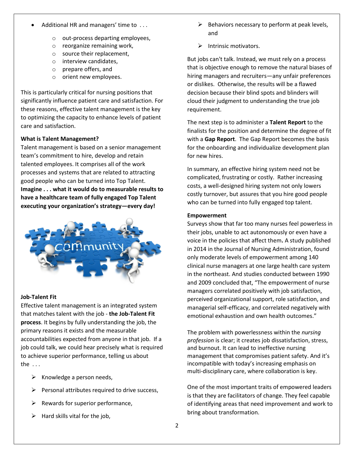- Additional HR and managers' time to . . .
	- o out-process departing employees,
	- o reorganize remaining work,
	- o source their replacement,
	- o interview candidates,
	- o prepare offers, and
	- o orient new employees.

This is particularly critical for nursing positions that significantly influence patient care and satisfaction. For these reasons, effective talent management is the key to optimizing the capacity to enhance levels of patient care and satisfaction.

## **What is Talent Management?**

Talent management is based on a senior management team's commitment to hire, develop and retain talented employees. It comprises all of the work processes and systems that are related to attracting good people who can be turned into Top Talent. **Imagine . . . what it would do to measurable results to have a healthcare team of fully engaged Top Talent executing your organization's strategy—every day!**



## **Job-Talent Fit**

Effective talent management is an integrated system that matches talent with the job - **the Job-Talent Fit process**. It begins by fully understanding the job, the primary reasons it exists and the measurable accountabilities expected from anyone in that job. If a job could talk, we could hear precisely what is required to achieve superior performance, telling us about the  $\ldots$ 

- $\triangleright$  Knowledge a person needs,
- $\triangleright$  Personal attributes required to drive success,
- $\triangleright$  Rewards for superior performance,
- $\triangleright$  Hard skills vital for the job,
- $\triangleright$  Behaviors necessary to perform at peak levels, and
- $\triangleright$  Intrinsic motivators.

But jobs can't talk. Instead, we must rely on a process that is objective enough to remove the natural biases of hiring managers and recruiters—any unfair preferences or dislikes. Otherwise, the results will be a flawed decision because their blind spots and blinders will cloud their judgment to understanding the true job requirement.

The next step is to administer a **Talent Report** to the finalists for the position and determine the degree of fit with a **Gap Report**. The Gap Report becomes the basis for the onboarding and individualize development plan for new hires.

In summary, an effective hiring system need not be complicated, frustrating or costly. Rather increasing costs, a well-designed hiring system not only lowers costly turnover, but assures that you hire good people who can be turned into fully engaged top talent.

## **Empowerment**

Surveys show that far too many nurses feel powerless in their jobs, unable to act autonomously or even have a voice in the policies that affect them**.** A stud[y published](http://journals.lww.com/jonajournal/Abstract/2014/04000/Structural_Empowerment_of_Clinical_Nurse_Managers.9.aspx)  [in 2014 in the Journal of Nursing Administration,](http://journals.lww.com/jonajournal/Abstract/2014/04000/Structural_Empowerment_of_Clinical_Nurse_Managers.9.aspx) found only moderate levels of empowerment among 140 clinical nurse managers at one large health care system in the northeast. And studies conducted between 1990 and 2009 concluded that, "The empowerment of nurse managers correlated positively with job satisfaction, perceived organizational support, role satisfaction, and managerial self-efficacy, and correlated negatively with emotional exhaustion and own health outcomes."

The problem with powerlessness within the *nursing profession* is clear; it creates job dissatisfaction, stress, and burnout. It can lead to ineffective nursing management that compromises patient safety. And it's incompatible with today's increasing emphasis on multi-disciplinary care, where collaboration is key.

One of the most important traits of empowered leaders is that they are facilitators of change. They feel capable of identifying areas that need improvement and work to bring about transformation.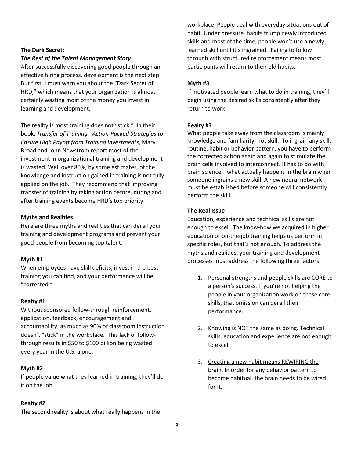## **The Dark Secret:**

#### *The Rest of the Talent Management Story*

After successfully discovering good people through an effective hiring process, development is the next step. But first, I must warn you about the "Dark Secret of HRD," which means that your organization is almost certainly wasting most of the money you invest in learning and development.

The reality is most training does not "stick." In their book, *Transfer of Training: Action-Packed Strategies to Ensure High Payoff from Training Investments*, Mary Broad and John Newstrom report most of the investment in organizational training and development is wasted. Well over 80%, by some estimates, of the knowledge and instruction gained in training is not fully applied on the job. They recommend that improving transfer of training by taking action before, during and after training events become HRD's top priority.

#### **Myths and Realities**

Here are three myths and realities that can derail your training and development programs and prevent your good people from becoming top talent:

#### **Myth #1**

When employees have skill deficits, invest in the best training you can find, and your performance will be "corrected."

#### **Realty #1**

Without sponsored follow-through reinforcement, application, feedback, encouragement and accountability, as much as 90% of classroom instruction doesn't "stick" in the workplace. This lack of followthrough results in \$50 to \$100 billion being wasted every year in the U.S. alone.

#### **Myth #2**

If people value what they learned in training, they'll do it on the job.

## **Realty #2**

The second reality is about what really happens in the

workplace. People deal with everyday situations out of habit. Under pressure, habits trump newly introduced skills and most of the time, people won't use a newly learned skill until it's ingrained. Failing to follow through with structured reinforcement means most participants will return to their old habits.

## **Myth #3**

If motivated people learn what to do in training, they'll begin using the desired skills consistently after they return to work.

#### **Realty #3**

What people take away from the classroom is mainly knowledge and familiarity, not skill. To ingrain any skill, routine, habit or behavior pattern, you have to perform the corrected action again and again to stimulate the brain cells involved to interconnect. It has to do with brain science—what actually happens in the brain when someone ingrains a new skill. A new neural network must be established before someone will consistently perform the skill.

## **The Real Issue**

Education, experience and technical skills are not enough to excel. The know-how we acquired in higher education or on-the-job training helps us perform in specific roles, but that's not enough. To address the myths and realities, your training and development processes must address the following three factors:

- 1. Personal strengths and people skills are CORE to a person's success. If you're not helping the people in your organization work on these core skills, that omission can derail their performance.
- 2. Knowing is NOT the same as doing. Technical skills, education and experience are not enough to excel.
- 3. Creating a new habit means REWIRING the brain. In order for any behavior pattern to become habitual, the brain needs to be wired for it.